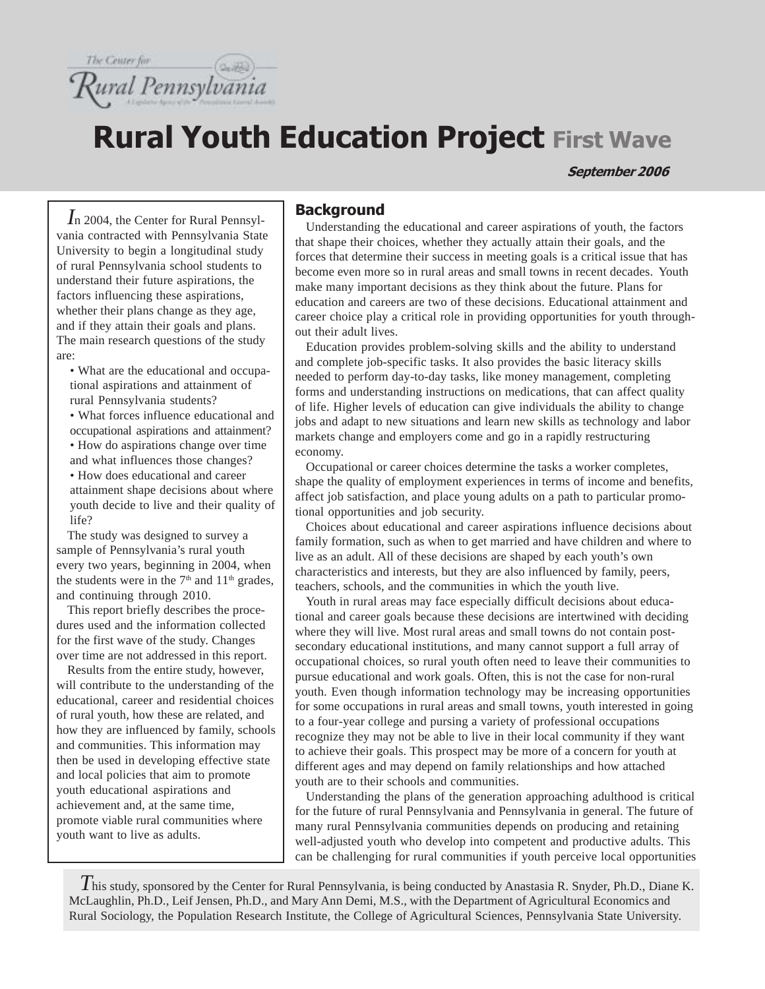

# **Rural Youth Education Project First Wave**

September 2006

*I*n 2004, the Center for Rural Pennsylvania contracted with Pennsylvania State University to begin a longitudinal study of rural Pennsylvania school students to understand their future aspirations, the factors influencing these aspirations, whether their plans change as they age, and if they attain their goals and plans. The main research questions of the study are:

• What are the educational and occupational aspirations and attainment of rural Pennsylvania students?

• What forces influence educational and occupational aspirations and attainment?

• How do aspirations change over time and what influences those changes?

• How does educational and career attainment shape decisions about where youth decide to live and their quality of life?

The study was designed to survey a sample of Pennsylvania's rural youth every two years, beginning in 2004, when the students were in the  $7<sup>th</sup>$  and  $11<sup>th</sup>$  grades, and continuing through 2010.

This report briefly describes the procedures used and the information collected for the first wave of the study. Changes over time are not addressed in this report.

Results from the entire study, however, will contribute to the understanding of the educational, career and residential choices of rural youth, how these are related, and how they are influenced by family, schools and communities. This information may then be used in developing effective state and local policies that aim to promote youth educational aspirations and achievement and, at the same time, promote viable rural communities where youth want to live as adults.

## **Background**

Understanding the educational and career aspirations of youth, the factors that shape their choices, whether they actually attain their goals, and the forces that determine their success in meeting goals is a critical issue that has become even more so in rural areas and small towns in recent decades. Youth make many important decisions as they think about the future. Plans for education and careers are two of these decisions. Educational attainment and career choice play a critical role in providing opportunities for youth throughout their adult lives.

Education provides problem-solving skills and the ability to understand and complete job-specific tasks. It also provides the basic literacy skills needed to perform day-to-day tasks, like money management, completing forms and understanding instructions on medications, that can affect quality of life. Higher levels of education can give individuals the ability to change jobs and adapt to new situations and learn new skills as technology and labor markets change and employers come and go in a rapidly restructuring economy.

Occupational or career choices determine the tasks a worker completes, shape the quality of employment experiences in terms of income and benefits, affect job satisfaction, and place young adults on a path to particular promotional opportunities and job security.

Choices about educational and career aspirations influence decisions about family formation, such as when to get married and have children and where to live as an adult. All of these decisions are shaped by each youth's own characteristics and interests, but they are also influenced by family, peers, teachers, schools, and the communities in which the youth live.

Youth in rural areas may face especially difficult decisions about educational and career goals because these decisions are intertwined with deciding where they will live. Most rural areas and small towns do not contain postsecondary educational institutions, and many cannot support a full array of occupational choices, so rural youth often need to leave their communities to pursue educational and work goals. Often, this is not the case for non-rural youth. Even though information technology may be increasing opportunities for some occupations in rural areas and small towns, youth interested in going to a four-year college and pursing a variety of professional occupations recognize they may not be able to live in their local community if they want to achieve their goals. This prospect may be more of a concern for youth at different ages and may depend on family relationships and how attached youth are to their schools and communities.

Understanding the plans of the generation approaching adulthood is critical for the future of rural Pennsylvania and Pennsylvania in general. The future of many rural Pennsylvania communities depends on producing and retaining well-adjusted youth who develop into competent and productive adults. This can be challenging for rural communities if youth perceive local opportunities

*T*his study, sponsored by the Center for Rural Pennsylvania, is being conducted by Anastasia R. Snyder, Ph.D., Diane K. McLaughlin, Ph.D., Leif Jensen, Ph.D., and Mary Ann Demi, M.S., with the Department of Agricultural Economics and Rural Sociology, the Population Research Institute, the College of Agricultural Sciences, Pennsylvania State University.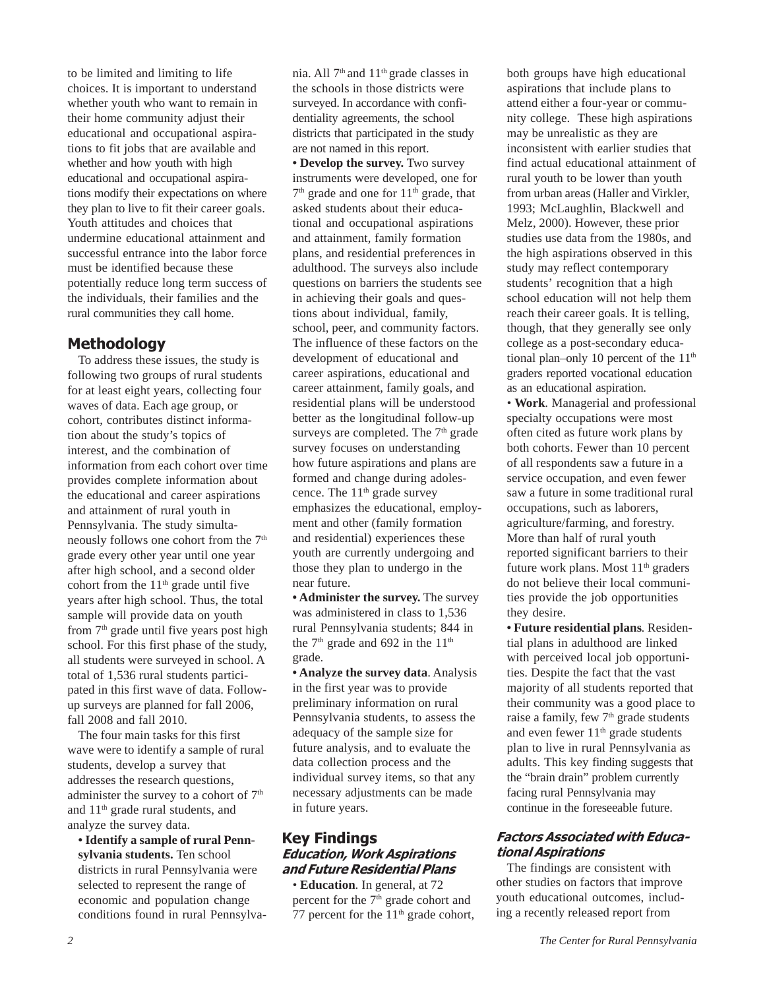to be limited and limiting to life choices. It is important to understand whether youth who want to remain in their home community adjust their educational and occupational aspirations to fit jobs that are available and whether and how youth with high educational and occupational aspirations modify their expectations on where they plan to live to fit their career goals. Youth attitudes and choices that undermine educational attainment and successful entrance into the labor force must be identified because these potentially reduce long term success of the individuals, their families and the rural communities they call home.

## Methodology

To address these issues, the study is following two groups of rural students for at least eight years, collecting four waves of data. Each age group, or cohort, contributes distinct information about the study's topics of interest, and the combination of information from each cohort over time provides complete information about the educational and career aspirations and attainment of rural youth in Pennsylvania. The study simultaneously follows one cohort from the 7<sup>th</sup> grade every other year until one year after high school, and a second older cohort from the  $11<sup>th</sup>$  grade until five years after high school. Thus, the total sample will provide data on youth from  $7<sup>th</sup>$  grade until five years post high school. For this first phase of the study, all students were surveyed in school. A total of 1,536 rural students participated in this first wave of data. Followup surveys are planned for fall 2006, fall 2008 and fall 2010.

The four main tasks for this first wave were to identify a sample of rural students, develop a survey that addresses the research questions, administer the survey to a cohort of  $7<sup>th</sup>$ and 11th grade rural students, and analyze the survey data.

**• Identify a sample of rural Pennsylvania students.** Ten school districts in rural Pennsylvania were selected to represent the range of economic and population change conditions found in rural Pennsylvania. All 7<sup>th</sup> and 11<sup>th</sup> grade classes in the schools in those districts were surveyed. In accordance with confidentiality agreements, the school districts that participated in the study are not named in this report. **• Develop the survey.** Two survey instruments were developed, one for  $7<sup>th</sup>$  grade and one for  $11<sup>th</sup>$  grade, that asked students about their educational and occupational aspirations and attainment, family formation plans, and residential preferences in adulthood. The surveys also include questions on barriers the students see in achieving their goals and questions about individual, family, school, peer, and community factors. The influence of these factors on the development of educational and career aspirations, educational and career attainment, family goals, and residential plans will be understood better as the longitudinal follow-up surveys are completed. The  $7<sup>th</sup>$  grade survey focuses on understanding how future aspirations and plans are formed and change during adolescence. The 11<sup>th</sup> grade survey emphasizes the educational, employment and other (family formation and residential) experiences these youth are currently undergoing and those they plan to undergo in the near future.

**• Administer the survey.** The survey was administered in class to 1,536 rural Pennsylvania students; 844 in the  $7<sup>th</sup>$  grade and 692 in the  $11<sup>th</sup>$ grade.

**• Analyze the survey data**. Analysis in the first year was to provide preliminary information on rural Pennsylvania students, to assess the adequacy of the sample size for future analysis, and to evaluate the data collection process and the individual survey items, so that any necessary adjustments can be made in future years.

## Key Findings Education, Work Aspirations and Future Residential Plans

*•* **Education***.* In general, at 72 percent for the 7<sup>th</sup> grade cohort and 77 percent for the  $11<sup>th</sup>$  grade cohort, both groups have high educational aspirations that include plans to attend either a four-year or community college. These high aspirations may be unrealistic as they are inconsistent with earlier studies that find actual educational attainment of rural youth to be lower than youth from urban areas (Haller and Virkler, 1993; McLaughlin, Blackwell and Melz, 2000). However, these prior studies use data from the 1980s, and the high aspirations observed in this study may reflect contemporary students' recognition that a high school education will not help them reach their career goals. It is telling, though, that they generally see only college as a post-secondary educational plan–only 10 percent of the  $11<sup>th</sup>$ graders reported vocational education as an educational aspiration.

*•* **Work***.* Managerial and professional specialty occupations were most often cited as future work plans by both cohorts. Fewer than 10 percent of all respondents saw a future in a service occupation, and even fewer saw a future in some traditional rural occupations, such as laborers, agriculture/farming, and forestry. More than half of rural youth reported significant barriers to their future work plans. Most  $11<sup>th</sup>$  graders do not believe their local communities provide the job opportunities they desire.

**• Future residential plans***.* Residential plans in adulthood are linked with perceived local job opportunities. Despite the fact that the vast majority of all students reported that their community was a good place to raise a family, few 7<sup>th</sup> grade students and even fewer 11<sup>th</sup> grade students plan to live in rural Pennsylvania as adults. This key finding suggests that the "brain drain" problem currently facing rural Pennsylvania may continue in the foreseeable future.

## Factors Associated with Educational Aspirations

The findings are consistent with other studies on factors that improve youth educational outcomes, including a recently released report from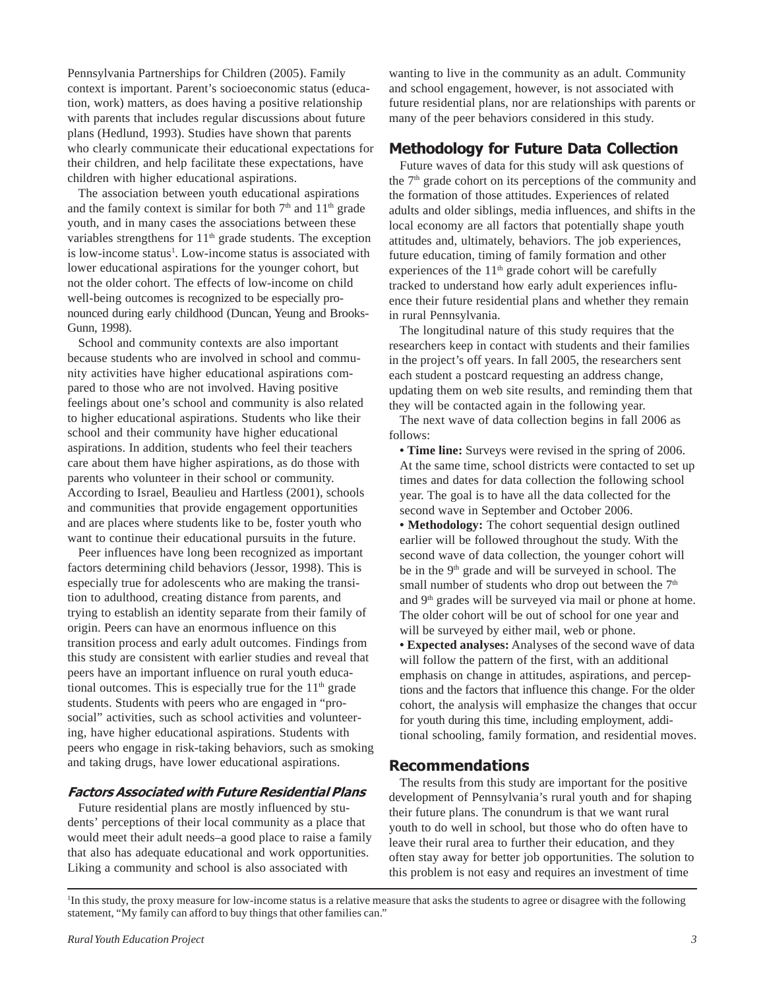Pennsylvania Partnerships for Children (2005). Family context is important. Parent's socioeconomic status (education, work) matters, as does having a positive relationship with parents that includes regular discussions about future plans (Hedlund, 1993). Studies have shown that parents who clearly communicate their educational expectations for their children, and help facilitate these expectations, have children with higher educational aspirations.

The association between youth educational aspirations and the family context is similar for both  $7<sup>th</sup>$  and  $11<sup>th</sup>$  grade youth, and in many cases the associations between these variables strengthens for  $11<sup>th</sup>$  grade students. The exception is low-income status<sup>1</sup>. Low-income status is associated with lower educational aspirations for the younger cohort, but not the older cohort. The effects of low-income on child well-being outcomes is recognized to be especially pronounced during early childhood (Duncan, Yeung and Brooks-Gunn, 1998).

School and community contexts are also important because students who are involved in school and community activities have higher educational aspirations compared to those who are not involved. Having positive feelings about one's school and community is also related to higher educational aspirations. Students who like their school and their community have higher educational aspirations. In addition, students who feel their teachers care about them have higher aspirations, as do those with parents who volunteer in their school or community. According to Israel, Beaulieu and Hartless (2001), schools and communities that provide engagement opportunities and are places where students like to be, foster youth who want to continue their educational pursuits in the future.

Peer influences have long been recognized as important factors determining child behaviors (Jessor, 1998). This is especially true for adolescents who are making the transition to adulthood, creating distance from parents, and trying to establish an identity separate from their family of origin. Peers can have an enormous influence on this transition process and early adult outcomes. Findings from this study are consistent with earlier studies and reveal that peers have an important influence on rural youth educational outcomes. This is especially true for the  $11<sup>th</sup>$  grade students. Students with peers who are engaged in "prosocial" activities, such as school activities and volunteering, have higher educational aspirations. Students with peers who engage in risk-taking behaviors, such as smoking and taking drugs, have lower educational aspirations.

#### Factors Associated with Future Residential Plans

Future residential plans are mostly influenced by students' perceptions of their local community as a place that would meet their adult needs–a good place to raise a family that also has adequate educational and work opportunities. Liking a community and school is also associated with

wanting to live in the community as an adult. Community and school engagement, however, is not associated with future residential plans, nor are relationships with parents or many of the peer behaviors considered in this study.

# Methodology for Future Data Collection

Future waves of data for this study will ask questions of the  $7<sup>th</sup>$  grade cohort on its perceptions of the community and the formation of those attitudes. Experiences of related adults and older siblings, media influences, and shifts in the local economy are all factors that potentially shape youth attitudes and, ultimately, behaviors. The job experiences, future education, timing of family formation and other experiences of the  $11<sup>th</sup>$  grade cohort will be carefully tracked to understand how early adult experiences influence their future residential plans and whether they remain in rural Pennsylvania.

The longitudinal nature of this study requires that the researchers keep in contact with students and their families in the project's off years. In fall 2005, the researchers sent each student a postcard requesting an address change, updating them on web site results, and reminding them that they will be contacted again in the following year.

The next wave of data collection begins in fall 2006 as follows:

**• Time line:** Surveys were revised in the spring of 2006. At the same time, school districts were contacted to set up times and dates for data collection the following school year. The goal is to have all the data collected for the second wave in September and October 2006.

**• Methodology:** The cohort sequential design outlined earlier will be followed throughout the study. With the second wave of data collection, the younger cohort will be in the 9<sup>th</sup> grade and will be surveyed in school. The small number of students who drop out between the  $7<sup>th</sup>$ and 9th grades will be surveyed via mail or phone at home. The older cohort will be out of school for one year and will be surveyed by either mail, web or phone.

**• Expected analyses:** Analyses of the second wave of data will follow the pattern of the first, with an additional emphasis on change in attitudes, aspirations, and perceptions and the factors that influence this change. For the older cohort, the analysis will emphasize the changes that occur for youth during this time, including employment, additional schooling, family formation, and residential moves.

## Recommendations

The results from this study are important for the positive development of Pennsylvania's rural youth and for shaping their future plans. The conundrum is that we want rural youth to do well in school, but those who do often have to leave their rural area to further their education, and they often stay away for better job opportunities. The solution to this problem is not easy and requires an investment of time

1 In this study, the proxy measure for low-income status is a relative measure that asks the students to agree or disagree with the following statement, "My family can afford to buy things that other families can."